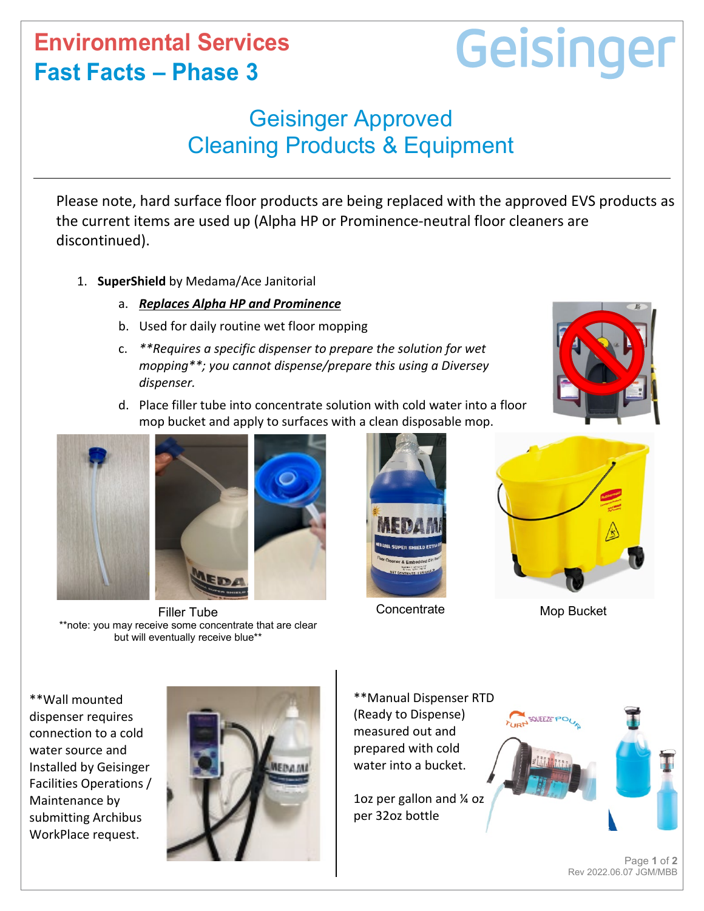## **Environmental Services Fast Facts – Phase 3**

## Geisinger

## Geisinger Approved Cleaning Products & Equipment

Please note, hard surface floor products are being replaced with the approved EVS products as the current items are used up (Alpha HP or Prominence-neutral floor cleaners are discontinued).

- 1. **SuperShield** by Medama/Ace Janitorial
	- a. *Replaces Alpha HP and Prominence*
	- b. Used for daily routine wet floor mopping
	- c. *\*\*Requires a specific dispenser to prepare the solution for wet mopping\*\*; you cannot dispense/prepare this using a Diversey dispenser.*

d. Place filler tube into concentrate solution with cold water into a floor



Filler Tube \*\*note: you may receive some concentrate that are clear but will eventually receive blue\*\*



**Concentrate** 



Mop Bucket

\*\*Wall mounted dispenser requires connection to a cold water source and Installed by Geisinger Facilities Operations / Maintenance by submitting Archibus WorkPlace request.



\*\*Manual Dispenser RTD (Ready to Dispense) measured out and prepared with cold water into a bucket.

1oz per gallon and ¼ oz per 32oz bottle



Page **1** of **2** Rev 2022.06.07 JGM/MBB